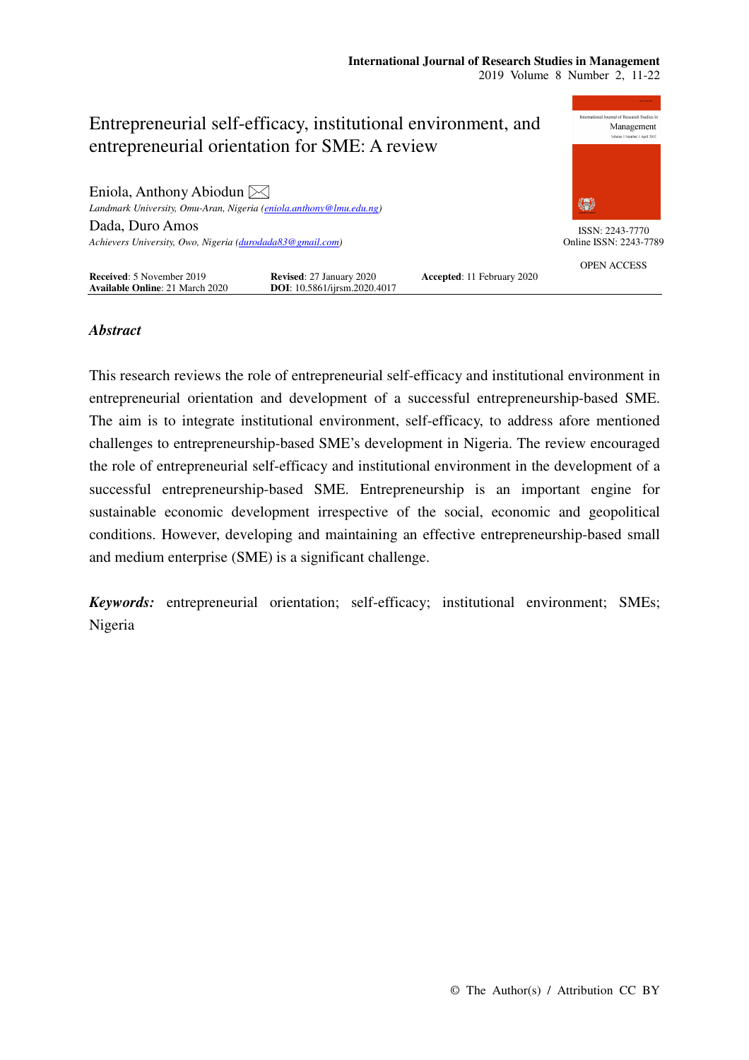

## *Abstract*

This research reviews the role of entrepreneurial self-efficacy and institutional environment in entrepreneurial orientation and development of a successful entrepreneurship-based SME. The aim is to integrate institutional environment, self-efficacy, to address afore mentioned challenges to entrepreneurship-based SME's development in Nigeria. The review encouraged the role of entrepreneurial self-efficacy and institutional environment in the development of a successful entrepreneurship-based SME. Entrepreneurship is an important engine for sustainable economic development irrespective of the social, economic and geopolitical conditions. However, developing and maintaining an effective entrepreneurship-based small and medium enterprise (SME) is a significant challenge.

*Keywords:* entrepreneurial orientation; self-efficacy; institutional environment; SMEs; Nigeria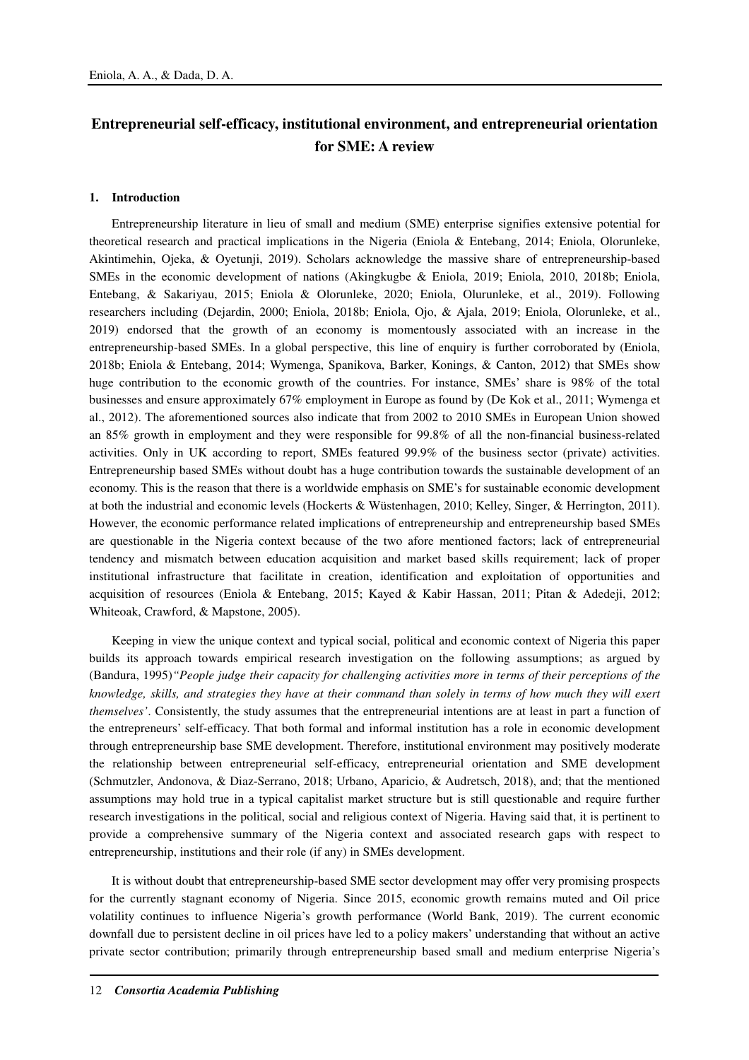# **Entrepreneurial self-efficacy, institutional environment, and entrepreneurial orientation for SME: A review**

#### **1. Introduction**

Entrepreneurship literature in lieu of small and medium (SME) enterprise signifies extensive potential for theoretical research and practical implications in the Nigeria (Eniola & Entebang, 2014; Eniola, Olorunleke, Akintimehin, Ojeka, & Oyetunji, 2019). Scholars acknowledge the massive share of entrepreneurship-based SMEs in the economic development of nations (Akingkugbe & Eniola, 2019; Eniola, 2010, 2018b; Eniola, Entebang, & Sakariyau, 2015; Eniola & Olorunleke, 2020; Eniola, Olurunleke, et al., 2019). Following researchers including (Dejardin, 2000; Eniola, 2018b; Eniola, Ojo, & Ajala, 2019; Eniola, Olorunleke, et al., 2019) endorsed that the growth of an economy is momentously associated with an increase in the entrepreneurship-based SMEs. In a global perspective, this line of enquiry is further corroborated by (Eniola, 2018b; Eniola & Entebang, 2014; Wymenga, Spanikova, Barker, Konings, & Canton, 2012) that SMEs show huge contribution to the economic growth of the countries. For instance, SMEs' share is 98% of the total businesses and ensure approximately 67% employment in Europe as found by (De Kok et al., 2011; Wymenga et al., 2012). The aforementioned sources also indicate that from 2002 to 2010 SMEs in European Union showed an 85% growth in employment and they were responsible for 99.8% of all the non-financial business-related activities. Only in UK according to report, SMEs featured 99.9% of the business sector (private) activities. Entrepreneurship based SMEs without doubt has a huge contribution towards the sustainable development of an economy. This is the reason that there is a worldwide emphasis on SME's for sustainable economic development at both the industrial and economic levels (Hockerts & Wüstenhagen, 2010; Kelley, Singer, & Herrington, 2011). However, the economic performance related implications of entrepreneurship and entrepreneurship based SMEs are questionable in the Nigeria context because of the two afore mentioned factors; lack of entrepreneurial tendency and mismatch between education acquisition and market based skills requirement; lack of proper institutional infrastructure that facilitate in creation, identification and exploitation of opportunities and acquisition of resources (Eniola & Entebang, 2015; Kayed & Kabir Hassan, 2011; Pitan & Adedeji, 2012; Whiteoak, Crawford, & Mapstone, 2005).

Keeping in view the unique context and typical social, political and economic context of Nigeria this paper builds its approach towards empirical research investigation on the following assumptions; as argued by (Bandura, 1995)*"People judge their capacity for challenging activities more in terms of their perceptions of the knowledge, skills, and strategies they have at their command than solely in terms of how much they will exert themselves'*. Consistently, the study assumes that the entrepreneurial intentions are at least in part a function of the entrepreneurs' self-efficacy. That both formal and informal institution has a role in economic development through entrepreneurship base SME development. Therefore, institutional environment may positively moderate the relationship between entrepreneurial self-efficacy, entrepreneurial orientation and SME development (Schmutzler, Andonova, & Diaz-Serrano, 2018; Urbano, Aparicio, & Audretsch, 2018), and; that the mentioned assumptions may hold true in a typical capitalist market structure but is still questionable and require further research investigations in the political, social and religious context of Nigeria. Having said that, it is pertinent to provide a comprehensive summary of the Nigeria context and associated research gaps with respect to entrepreneurship, institutions and their role (if any) in SMEs development.

It is without doubt that entrepreneurship-based SME sector development may offer very promising prospects for the currently stagnant economy of Nigeria. Since 2015, economic growth remains muted and Oil price volatility continues to influence Nigeria's growth performance (World Bank, 2019). The current economic downfall due to persistent decline in oil prices have led to a policy makers' understanding that without an active private sector contribution; primarily through entrepreneurship based small and medium enterprise Nigeria's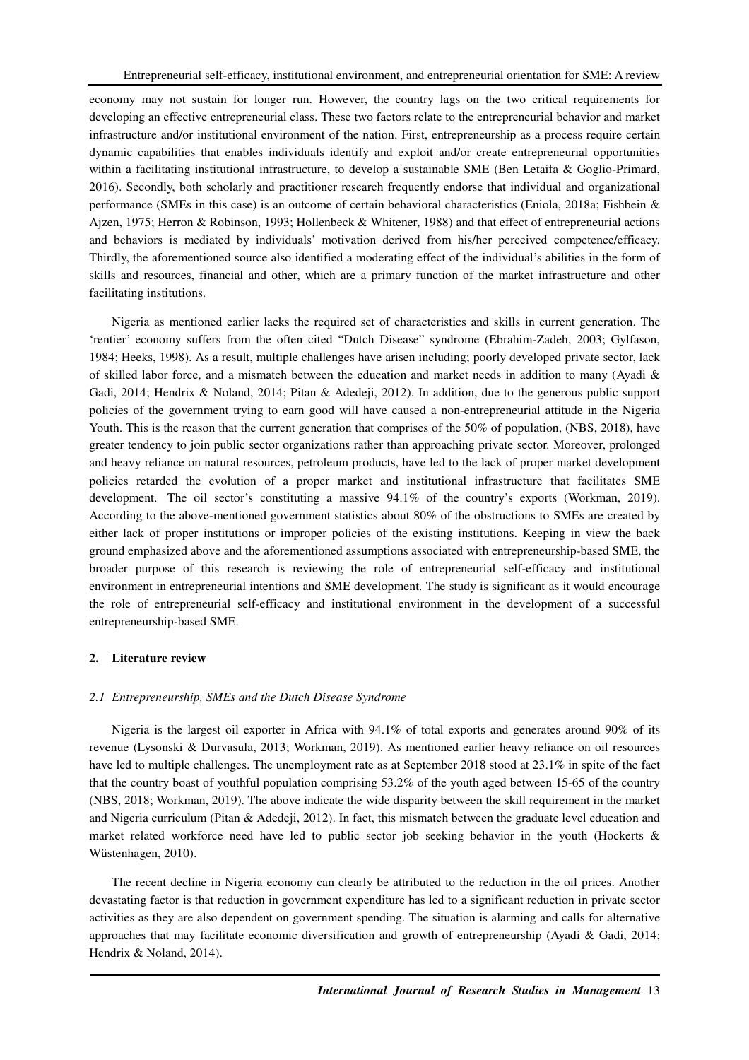economy may not sustain for longer run. However, the country lags on the two critical requirements for developing an effective entrepreneurial class. These two factors relate to the entrepreneurial behavior and market infrastructure and/or institutional environment of the nation. First, entrepreneurship as a process require certain dynamic capabilities that enables individuals identify and exploit and/or create entrepreneurial opportunities within a facilitating institutional infrastructure, to develop a sustainable SME (Ben Letaifa & Goglio-Primard, 2016). Secondly, both scholarly and practitioner research frequently endorse that individual and organizational performance (SMEs in this case) is an outcome of certain behavioral characteristics (Eniola, 2018a; Fishbein & Ajzen, 1975; Herron & Robinson, 1993; Hollenbeck & Whitener, 1988) and that effect of entrepreneurial actions and behaviors is mediated by individuals' motivation derived from his/her perceived competence/efficacy. Thirdly, the aforementioned source also identified a moderating effect of the individual's abilities in the form of skills and resources, financial and other, which are a primary function of the market infrastructure and other facilitating institutions.

Nigeria as mentioned earlier lacks the required set of characteristics and skills in current generation. The 'rentier' economy suffers from the often cited "Dutch Disease" syndrome (Ebrahim-Zadeh, 2003; Gylfason, 1984; Heeks, 1998). As a result, multiple challenges have arisen including; poorly developed private sector, lack of skilled labor force, and a mismatch between the education and market needs in addition to many (Ayadi & Gadi, 2014; Hendrix & Noland, 2014; Pitan & Adedeji, 2012). In addition, due to the generous public support policies of the government trying to earn good will have caused a non-entrepreneurial attitude in the Nigeria Youth. This is the reason that the current generation that comprises of the 50% of population, (NBS, 2018), have greater tendency to join public sector organizations rather than approaching private sector. Moreover, prolonged and heavy reliance on natural resources, petroleum products, have led to the lack of proper market development policies retarded the evolution of a proper market and institutional infrastructure that facilitates SME development. The oil sector's constituting a massive 94.1% of the country's exports (Workman, 2019). According to the above-mentioned government statistics about 80% of the obstructions to SMEs are created by either lack of proper institutions or improper policies of the existing institutions. Keeping in view the back ground emphasized above and the aforementioned assumptions associated with entrepreneurship-based SME, the broader purpose of this research is reviewing the role of entrepreneurial self-efficacy and institutional environment in entrepreneurial intentions and SME development. The study is significant as it would encourage the role of entrepreneurial self-efficacy and institutional environment in the development of a successful entrepreneurship-based SME.

## **2. Literature review**

## *2.1 Entrepreneurship, SMEs and the Dutch Disease Syndrome*

Nigeria is the largest oil exporter in Africa with 94.1% of total exports and generates around 90% of its revenue (Lysonski & Durvasula, 2013; Workman, 2019). As mentioned earlier heavy reliance on oil resources have led to multiple challenges. The unemployment rate as at September 2018 stood at 23.1% in spite of the fact that the country boast of youthful population comprising 53.2% of the youth aged between 15-65 of the country (NBS, 2018; Workman, 2019). The above indicate the wide disparity between the skill requirement in the market and Nigeria curriculum (Pitan & Adedeji, 2012). In fact, this mismatch between the graduate level education and market related workforce need have led to public sector job seeking behavior in the youth (Hockerts & Wüstenhagen, 2010).

The recent decline in Nigeria economy can clearly be attributed to the reduction in the oil prices. Another devastating factor is that reduction in government expenditure has led to a significant reduction in private sector activities as they are also dependent on government spending. The situation is alarming and calls for alternative approaches that may facilitate economic diversification and growth of entrepreneurship (Ayadi & Gadi, 2014; Hendrix & Noland, 2014).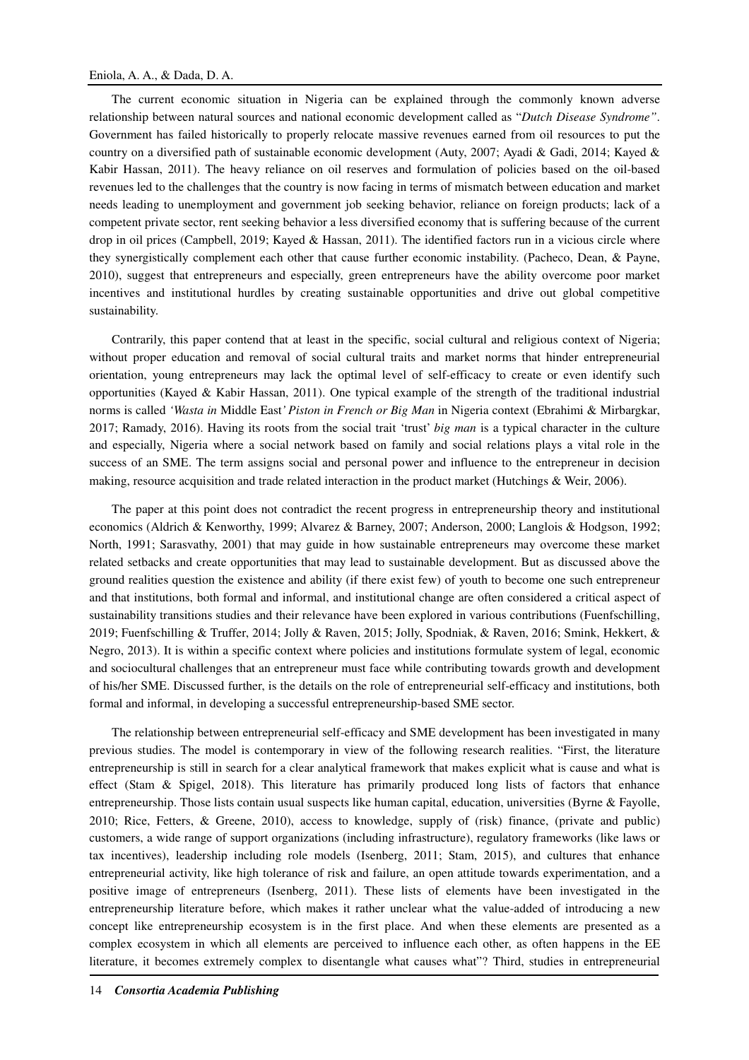The current economic situation in Nigeria can be explained through the commonly known adverse relationship between natural sources and national economic development called as "*Dutch Disease Syndrome"*. Government has failed historically to properly relocate massive revenues earned from oil resources to put the country on a diversified path of sustainable economic development (Auty, 2007; Ayadi & Gadi, 2014; Kayed & Kabir Hassan, 2011). The heavy reliance on oil reserves and formulation of policies based on the oil-based revenues led to the challenges that the country is now facing in terms of mismatch between education and market needs leading to unemployment and government job seeking behavior, reliance on foreign products; lack of a competent private sector, rent seeking behavior a less diversified economy that is suffering because of the current drop in oil prices (Campbell, 2019; Kayed & Hassan, 2011). The identified factors run in a vicious circle where they synergistically complement each other that cause further economic instability. (Pacheco, Dean, & Payne, 2010), suggest that entrepreneurs and especially, green entrepreneurs have the ability overcome poor market incentives and institutional hurdles by creating sustainable opportunities and drive out global competitive sustainability.

Contrarily, this paper contend that at least in the specific, social cultural and religious context of Nigeria; without proper education and removal of social cultural traits and market norms that hinder entrepreneurial orientation, young entrepreneurs may lack the optimal level of self-efficacy to create or even identify such opportunities (Kayed & Kabir Hassan, 2011). One typical example of the strength of the traditional industrial norms is called *'Wasta in* Middle East*' Piston in French or Big Man* in Nigeria context (Ebrahimi & Mirbargkar, 2017; Ramady, 2016). Having its roots from the social trait 'trust' *big man* is a typical character in the culture and especially, Nigeria where a social network based on family and social relations plays a vital role in the success of an SME. The term assigns social and personal power and influence to the entrepreneur in decision making, resource acquisition and trade related interaction in the product market (Hutchings & Weir, 2006).

The paper at this point does not contradict the recent progress in entrepreneurship theory and institutional economics (Aldrich & Kenworthy, 1999; Alvarez & Barney, 2007; Anderson, 2000; Langlois & Hodgson, 1992; North, 1991; Sarasvathy, 2001) that may guide in how sustainable entrepreneurs may overcome these market related setbacks and create opportunities that may lead to sustainable development. But as discussed above the ground realities question the existence and ability (if there exist few) of youth to become one such entrepreneur and that institutions, both formal and informal, and institutional change are often considered a critical aspect of sustainability transitions studies and their relevance have been explored in various contributions (Fuenfschilling, 2019; Fuenfschilling & Truffer, 2014; Jolly & Raven, 2015; Jolly, Spodniak, & Raven, 2016; Smink, Hekkert, & Negro, 2013). It is within a specific context where policies and institutions formulate system of legal, economic and sociocultural challenges that an entrepreneur must face while contributing towards growth and development of his/her SME. Discussed further, is the details on the role of entrepreneurial self-efficacy and institutions, both formal and informal, in developing a successful entrepreneurship-based SME sector.

The relationship between entrepreneurial self-efficacy and SME development has been investigated in many previous studies. The model is contemporary in view of the following research realities. "First, the literature entrepreneurship is still in search for a clear analytical framework that makes explicit what is cause and what is effect (Stam & Spigel, 2018). This literature has primarily produced long lists of factors that enhance entrepreneurship. Those lists contain usual suspects like human capital, education, universities (Byrne & Fayolle, 2010; Rice, Fetters, & Greene, 2010), access to knowledge, supply of (risk) finance, (private and public) customers, a wide range of support organizations (including infrastructure), regulatory frameworks (like laws or tax incentives), leadership including role models (Isenberg, 2011; Stam, 2015), and cultures that enhance entrepreneurial activity, like high tolerance of risk and failure, an open attitude towards experimentation, and a positive image of entrepreneurs (Isenberg, 2011). These lists of elements have been investigated in the entrepreneurship literature before, which makes it rather unclear what the value-added of introducing a new concept like entrepreneurship ecosystem is in the first place. And when these elements are presented as a complex ecosystem in which all elements are perceived to influence each other, as often happens in the EE literature, it becomes extremely complex to disentangle what causes what"? Third, studies in entrepreneurial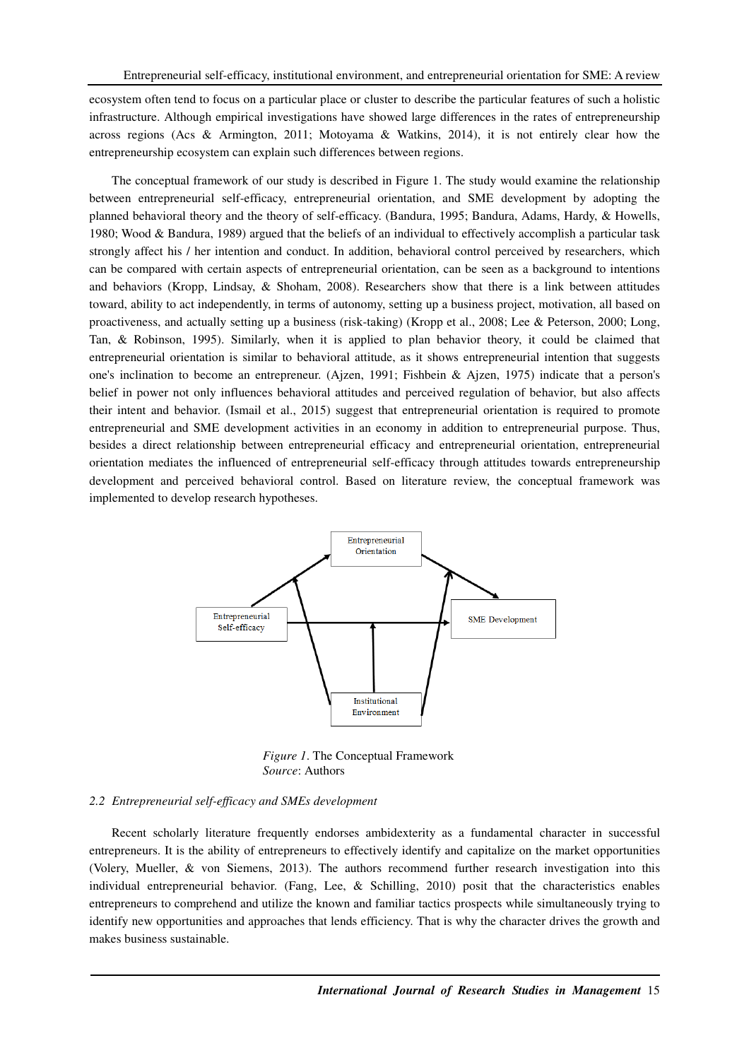ecosystem often tend to focus on a particular place or cluster to describe the particular features of such a holistic infrastructure. Although empirical investigations have showed large differences in the rates of entrepreneurship across regions (Acs & Armington, 2011; Motoyama & Watkins, 2014), it is not entirely clear how the entrepreneurship ecosystem can explain such differences between regions.

The conceptual framework of our study is described in Figure 1. The study would examine the relationship between entrepreneurial self-efficacy, entrepreneurial orientation, and SME development by adopting the planned behavioral theory and the theory of self-efficacy. (Bandura, 1995; Bandura, Adams, Hardy, & Howells, 1980; Wood & Bandura, 1989) argued that the beliefs of an individual to effectively accomplish a particular task strongly affect his / her intention and conduct. In addition, behavioral control perceived by researchers, which can be compared with certain aspects of entrepreneurial orientation, can be seen as a background to intentions and behaviors (Kropp, Lindsay, & Shoham, 2008). Researchers show that there is a link between attitudes toward, ability to act independently, in terms of autonomy, setting up a business project, motivation, all based on proactiveness, and actually setting up a business (risk-taking) (Kropp et al., 2008; Lee & Peterson, 2000; Long, Tan, & Robinson, 1995). Similarly, when it is applied to plan behavior theory, it could be claimed that entrepreneurial orientation is similar to behavioral attitude, as it shows entrepreneurial intention that suggests one's inclination to become an entrepreneur. (Ajzen, 1991; Fishbein & Ajzen, 1975) indicate that a person's belief in power not only influences behavioral attitudes and perceived regulation of behavior, but also affects their intent and behavior. (Ismail et al., 2015) suggest that entrepreneurial orientation is required to promote entrepreneurial and SME development activities in an economy in addition to entrepreneurial purpose. Thus, besides a direct relationship between entrepreneurial efficacy and entrepreneurial orientation, entrepreneurial orientation mediates the influenced of entrepreneurial self-efficacy through attitudes towards entrepreneurship development and perceived behavioral control. Based on literature review, the conceptual framework was implemented to develop research hypotheses.



*Figure 1*. The Conceptual Framework *Source*: Authors

#### *2.2 Entrepreneurial self-efficacy and SMEs development*

Recent scholarly literature frequently endorses ambidexterity as a fundamental character in successful entrepreneurs. It is the ability of entrepreneurs to effectively identify and capitalize on the market opportunities (Volery, Mueller, & von Siemens, 2013). The authors recommend further research investigation into this individual entrepreneurial behavior. (Fang, Lee, & Schilling, 2010) posit that the characteristics enables entrepreneurs to comprehend and utilize the known and familiar tactics prospects while simultaneously trying to identify new opportunities and approaches that lends efficiency. That is why the character drives the growth and makes business sustainable.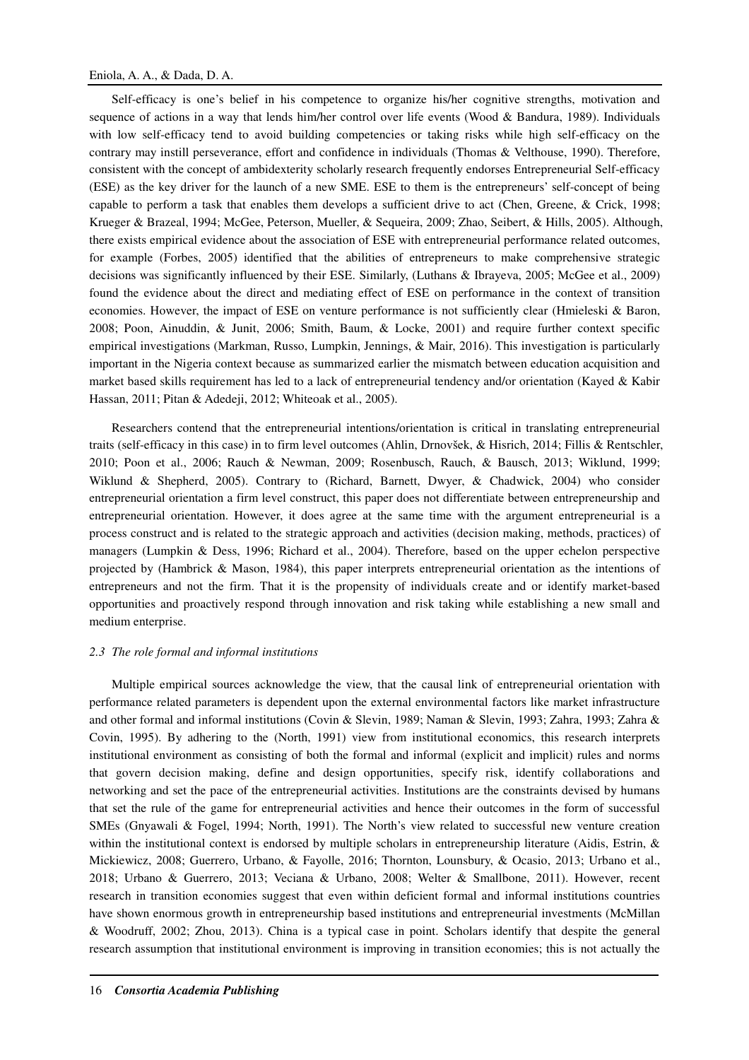## Eniola, A. A., & Dada, D. A.

Self-efficacy is one's belief in his competence to organize his/her cognitive strengths, motivation and sequence of actions in a way that lends him/her control over life events (Wood & Bandura, 1989). Individuals with low self-efficacy tend to avoid building competencies or taking risks while high self-efficacy on the contrary may instill perseverance, effort and confidence in individuals (Thomas & Velthouse, 1990). Therefore, consistent with the concept of ambidexterity scholarly research frequently endorses Entrepreneurial Self-efficacy (ESE) as the key driver for the launch of a new SME. ESE to them is the entrepreneurs' self-concept of being capable to perform a task that enables them develops a sufficient drive to act (Chen, Greene, & Crick, 1998; Krueger & Brazeal, 1994; McGee, Peterson, Mueller, & Sequeira, 2009; Zhao, Seibert, & Hills, 2005). Although, there exists empirical evidence about the association of ESE with entrepreneurial performance related outcomes, for example (Forbes, 2005) identified that the abilities of entrepreneurs to make comprehensive strategic decisions was significantly influenced by their ESE. Similarly, (Luthans & Ibrayeva, 2005; McGee et al., 2009) found the evidence about the direct and mediating effect of ESE on performance in the context of transition economies. However, the impact of ESE on venture performance is not sufficiently clear (Hmieleski & Baron, 2008; Poon, Ainuddin, & Junit, 2006; Smith, Baum, & Locke, 2001) and require further context specific empirical investigations (Markman, Russo, Lumpkin, Jennings, & Mair, 2016). This investigation is particularly important in the Nigeria context because as summarized earlier the mismatch between education acquisition and market based skills requirement has led to a lack of entrepreneurial tendency and/or orientation (Kayed & Kabir Hassan, 2011; Pitan & Adedeji, 2012; Whiteoak et al., 2005).

Researchers contend that the entrepreneurial intentions/orientation is critical in translating entrepreneurial traits (self-efficacy in this case) in to firm level outcomes (Ahlin, Drnovšek, & Hisrich, 2014; Fillis & Rentschler, 2010; Poon et al., 2006; Rauch & Newman, 2009; Rosenbusch, Rauch, & Bausch, 2013; Wiklund, 1999; Wiklund & Shepherd, 2005). Contrary to (Richard, Barnett, Dwyer, & Chadwick, 2004) who consider entrepreneurial orientation a firm level construct, this paper does not differentiate between entrepreneurship and entrepreneurial orientation. However, it does agree at the same time with the argument entrepreneurial is a process construct and is related to the strategic approach and activities (decision making, methods, practices) of managers (Lumpkin & Dess, 1996; Richard et al., 2004). Therefore, based on the upper echelon perspective projected by (Hambrick & Mason, 1984), this paper interprets entrepreneurial orientation as the intentions of entrepreneurs and not the firm. That it is the propensity of individuals create and or identify market-based opportunities and proactively respond through innovation and risk taking while establishing a new small and medium enterprise.

## *2.3 The role formal and informal institutions*

Multiple empirical sources acknowledge the view, that the causal link of entrepreneurial orientation with performance related parameters is dependent upon the external environmental factors like market infrastructure and other formal and informal institutions (Covin & Slevin, 1989; Naman & Slevin, 1993; Zahra, 1993; Zahra & Covin, 1995). By adhering to the (North, 1991) view from institutional economics, this research interprets institutional environment as consisting of both the formal and informal (explicit and implicit) rules and norms that govern decision making, define and design opportunities, specify risk, identify collaborations and networking and set the pace of the entrepreneurial activities. Institutions are the constraints devised by humans that set the rule of the game for entrepreneurial activities and hence their outcomes in the form of successful SMEs (Gnyawali & Fogel, 1994; North, 1991). The North's view related to successful new venture creation within the institutional context is endorsed by multiple scholars in entrepreneurship literature (Aidis, Estrin, & Mickiewicz, 2008; Guerrero, Urbano, & Fayolle, 2016; Thornton, Lounsbury, & Ocasio, 2013; Urbano et al., 2018; Urbano & Guerrero, 2013; Veciana & Urbano, 2008; Welter & Smallbone, 2011). However, recent research in transition economies suggest that even within deficient formal and informal institutions countries have shown enormous growth in entrepreneurship based institutions and entrepreneurial investments (McMillan & Woodruff, 2002; Zhou, 2013). China is a typical case in point. Scholars identify that despite the general research assumption that institutional environment is improving in transition economies; this is not actually the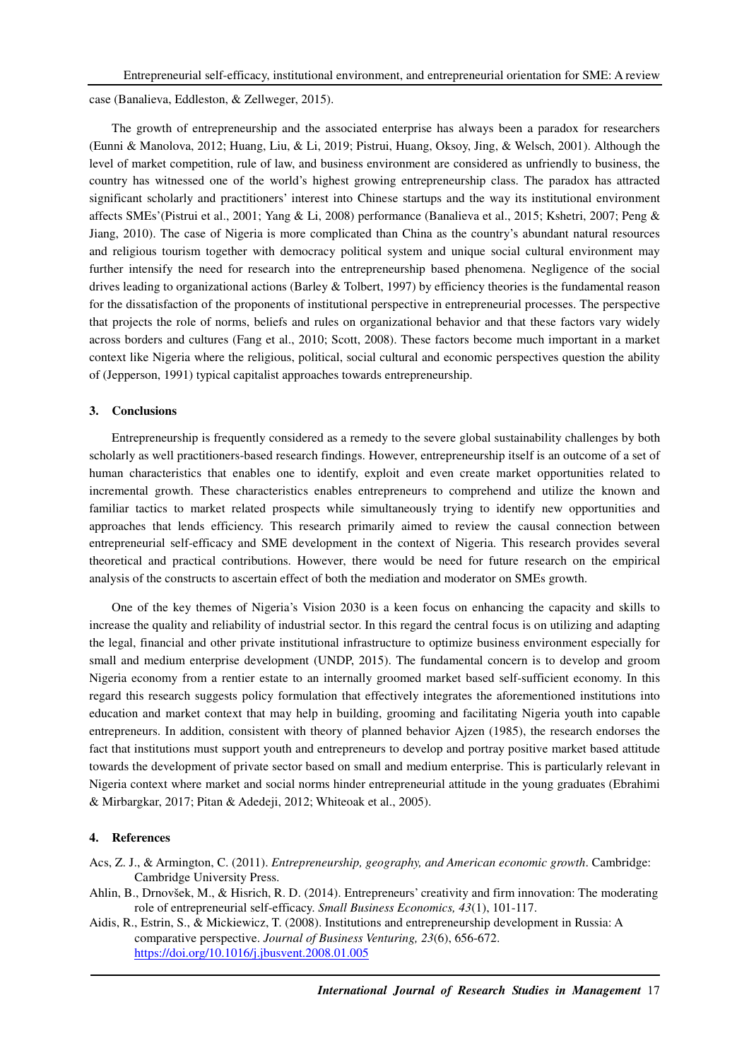case (Banalieva, Eddleston, & Zellweger, 2015).

The growth of entrepreneurship and the associated enterprise has always been a paradox for researchers (Eunni & Manolova, 2012; Huang, Liu, & Li, 2019; Pistrui, Huang, Oksoy, Jing, & Welsch, 2001). Although the level of market competition, rule of law, and business environment are considered as unfriendly to business, the country has witnessed one of the world's highest growing entrepreneurship class. The paradox has attracted significant scholarly and practitioners' interest into Chinese startups and the way its institutional environment affects SMEs'(Pistrui et al., 2001; Yang & Li, 2008) performance (Banalieva et al., 2015; Kshetri, 2007; Peng & Jiang, 2010). The case of Nigeria is more complicated than China as the country's abundant natural resources and religious tourism together with democracy political system and unique social cultural environment may further intensify the need for research into the entrepreneurship based phenomena. Negligence of the social drives leading to organizational actions (Barley & Tolbert, 1997) by efficiency theories is the fundamental reason for the dissatisfaction of the proponents of institutional perspective in entrepreneurial processes. The perspective that projects the role of norms, beliefs and rules on organizational behavior and that these factors vary widely across borders and cultures (Fang et al., 2010; Scott, 2008). These factors become much important in a market context like Nigeria where the religious, political, social cultural and economic perspectives question the ability of (Jepperson, 1991) typical capitalist approaches towards entrepreneurship.

## **3. Conclusions**

Entrepreneurship is frequently considered as a remedy to the severe global sustainability challenges by both scholarly as well practitioners-based research findings. However, entrepreneurship itself is an outcome of a set of human characteristics that enables one to identify, exploit and even create market opportunities related to incremental growth. These characteristics enables entrepreneurs to comprehend and utilize the known and familiar tactics to market related prospects while simultaneously trying to identify new opportunities and approaches that lends efficiency. This research primarily aimed to review the causal connection between entrepreneurial self-efficacy and SME development in the context of Nigeria. This research provides several theoretical and practical contributions. However, there would be need for future research on the empirical analysis of the constructs to ascertain effect of both the mediation and moderator on SMEs growth.

One of the key themes of Nigeria's Vision 2030 is a keen focus on enhancing the capacity and skills to increase the quality and reliability of industrial sector. In this regard the central focus is on utilizing and adapting the legal, financial and other private institutional infrastructure to optimize business environment especially for small and medium enterprise development (UNDP, 2015). The fundamental concern is to develop and groom Nigeria economy from a rentier estate to an internally groomed market based self-sufficient economy. In this regard this research suggests policy formulation that effectively integrates the aforementioned institutions into education and market context that may help in building, grooming and facilitating Nigeria youth into capable entrepreneurs. In addition, consistent with theory of planned behavior Ajzen (1985), the research endorses the fact that institutions must support youth and entrepreneurs to develop and portray positive market based attitude towards the development of private sector based on small and medium enterprise. This is particularly relevant in Nigeria context where market and social norms hinder entrepreneurial attitude in the young graduates (Ebrahimi & Mirbargkar, 2017; Pitan & Adedeji, 2012; Whiteoak et al., 2005).

## **4. References**

Acs, Z. J., & Armington, C. (2011). *Entrepreneurship, geography, and American economic growth*. Cambridge: Cambridge University Press.

Ahlin, B., Drnovšek, M., & Hisrich, R. D. (2014). Entrepreneurs' creativity and firm innovation: The moderating role of entrepreneurial self-efficacy. *Small Business Economics, 43*(1), 101-117.

Aidis, R., Estrin, S., & Mickiewicz, T. (2008). Institutions and entrepreneurship development in Russia: A comparative perspective. *Journal of Business Venturing, 23*(6), 656-672. https://doi.org/10.1016/j.jbusvent.2008.01.005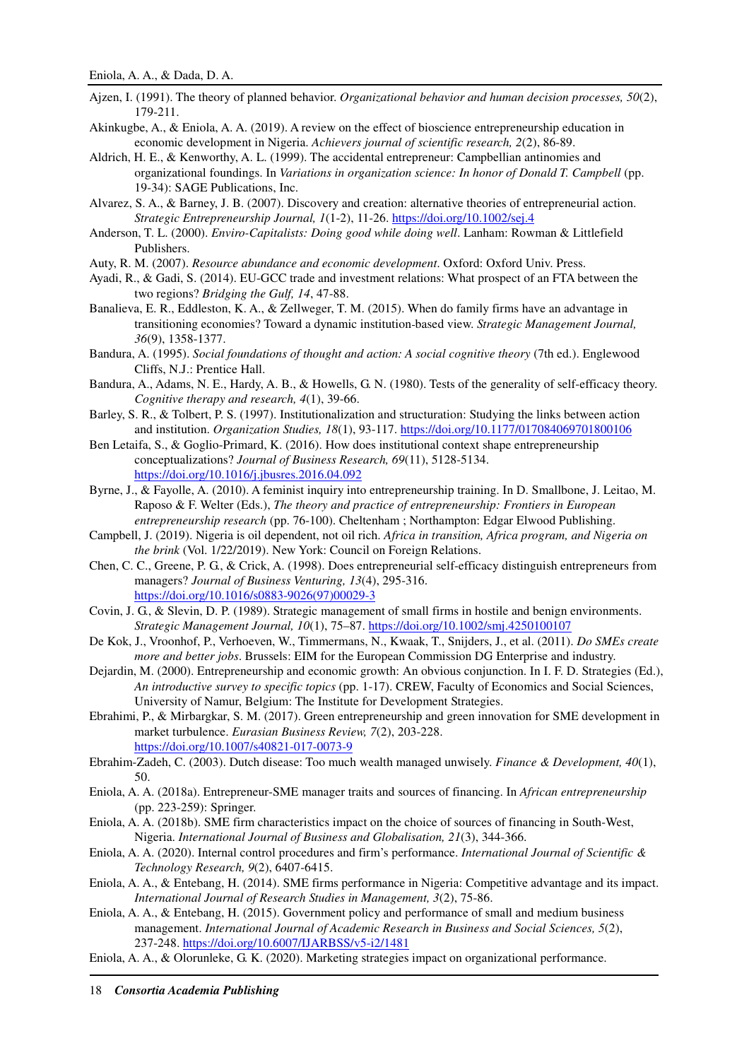- Ajzen, I. (1991). The theory of planned behavior. *Organizational behavior and human decision processes, 50*(2), 179-211.
- Akinkugbe, A., & Eniola, A. A. (2019). A review on the effect of bioscience entrepreneurship education in economic development in Nigeria. *Achievers journal of scientific research, 2*(2), 86-89.
- Aldrich, H. E., & Kenworthy, A. L. (1999). The accidental entrepreneur: Campbellian antinomies and organizational foundings. In *Variations in organization science: In honor of Donald T. Campbell* (pp. 19-34): SAGE Publications, Inc.
- Alvarez, S. A., & Barney, J. B. (2007). Discovery and creation: alternative theories of entrepreneurial action. *Strategic Entrepreneurship Journal, 1*(1-2), 11-26. https://doi.org/10.1002/sej.4
- Anderson, T. L. (2000). *Enviro-Capitalists: Doing good while doing well*. Lanham: Rowman & Littlefield Publishers.
- Auty, R. M. (2007). *Resource abundance and economic development*. Oxford: Oxford Univ. Press.
- Ayadi, R., & Gadi, S. (2014). EU-GCC trade and investment relations: What prospect of an FTA between the two regions? *Bridging the Gulf, 14*, 47-88.
- Banalieva, E. R., Eddleston, K. A., & Zellweger, T. M. (2015). When do family firms have an advantage in transitioning economies? Toward a dynamic institution‐based view. *Strategic Management Journal, 36*(9), 1358-1377.
- Bandura, A. (1995). *Social foundations of thought and action: A social cognitive theory* (7th ed.). Englewood Cliffs, N.J.: Prentice Hall.
- Bandura, A., Adams, N. E., Hardy, A. B., & Howells, G. N. (1980). Tests of the generality of self-efficacy theory. *Cognitive therapy and research, 4*(1), 39-66.
- Barley, S. R., & Tolbert, P. S. (1997). Institutionalization and structuration: Studying the links between action and institution. *Organization Studies, 18*(1), 93-117. https://doi.org/10.1177/017084069701800106
- Ben Letaifa, S., & Goglio-Primard, K. (2016). How does institutional context shape entrepreneurship conceptualizations? *Journal of Business Research, 69*(11), 5128-5134. https://doi.org/10.1016/j.jbusres.2016.04.092
- Byrne, J., & Fayolle, A. (2010). A feminist inquiry into entrepreneurship training. In D. Smallbone, J. Leitao, M. Raposo & F. Welter (Eds.), *The theory and practice of entrepreneurship: Frontiers in European entrepreneurship research* (pp. 76-100). Cheltenham ; Northampton: Edgar Elwood Publishing.
- Campbell, J. (2019). Nigeria is oil dependent, not oil rich. *Africa in transition, Africa program, and Nigeria on the brink* (Vol. 1/22/2019). New York: Council on Foreign Relations.
- Chen, C. C., Greene, P. G., & Crick, A. (1998). Does entrepreneurial self-efficacy distinguish entrepreneurs from managers? *Journal of Business Venturing, 13*(4), 295-316. https://doi.org/10.1016/s0883-9026(97)00029-3
- Covin, J. G., & Slevin, D. P. (1989). Strategic management of small firms in hostile and benign environments. *Strategic Management Journal, 10*(1), 75–87. https://doi.org/10.1002/smj.4250100107
- De Kok, J., Vroonhof, P., Verhoeven, W., Timmermans, N., Kwaak, T., Snijders, J., et al. (2011). *Do SMEs create more and better jobs*. Brussels: EIM for the European Commission DG Enterprise and industry.
- Dejardin, M. (2000). Entrepreneurship and economic growth: An obvious conjunction. In I. F. D. Strategies (Ed.), *An introductive survey to specific topics* (pp. 1-17). CREW, Faculty of Economics and Social Sciences, University of Namur, Belgium: The Institute for Development Strategies.
- Ebrahimi, P., & Mirbargkar, S. M. (2017). Green entrepreneurship and green innovation for SME development in market turbulence. *Eurasian Business Review, 7*(2), 203-228. https://doi.org/10.1007/s40821-017-0073-9
- Ebrahim-Zadeh, C. (2003). Dutch disease: Too much wealth managed unwisely. *Finance & Development, 40*(1), 50.
- Eniola, A. A. (2018a). Entrepreneur-SME manager traits and sources of financing. In *African entrepreneurship* (pp. 223-259): Springer.
- Eniola, A. A. (2018b). SME firm characteristics impact on the choice of sources of financing in South-West, Nigeria. *International Journal of Business and Globalisation, 21*(3), 344-366.
- Eniola, A. A. (2020). Internal control procedures and firm's performance. *International Journal of Scientific & Technology Research, 9*(2), 6407-6415.
- Eniola, A. A., & Entebang, H. (2014). SME firms performance in Nigeria: Competitive advantage and its impact. *International Journal of Research Studies in Management, 3*(2), 75-86.
- Eniola, A. A., & Entebang, H. (2015). Government policy and performance of small and medium business management. *International Journal of Academic Research in Business and Social Sciences, 5*(2), 237-248. https://doi.org/10.6007/IJARBSS/v5-i2/1481
- Eniola, A. A., & Olorunleke, G. K. (2020). Marketing strategies impact on organizational performance.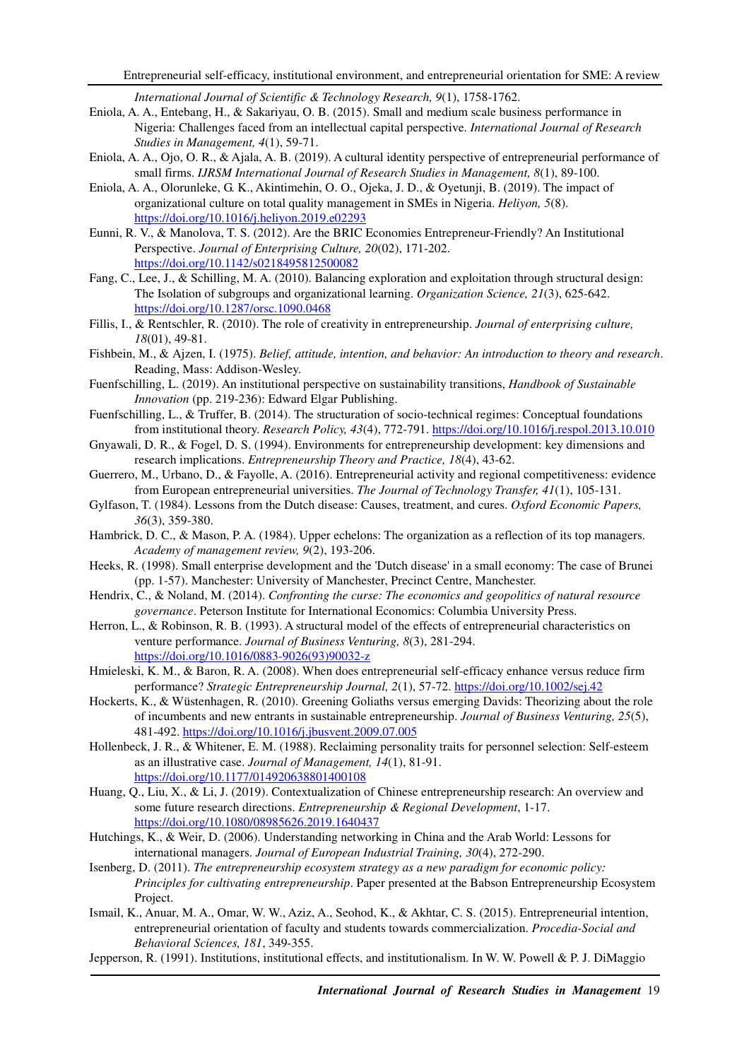*International Journal of Scientific & Technology Research, 9*(1), 1758-1762.

- Eniola, A. A., Entebang, H., & Sakariyau, O. B. (2015). Small and medium scale business performance in Nigeria: Challenges faced from an intellectual capital perspective. *International Journal of Research Studies in Management, 4*(1), 59-71.
- Eniola, A. A., Ojo, O. R., & Ajala, A. B. (2019). A cultural identity perspective of entrepreneurial performance of small firms. *IJRSM International Journal of Research Studies in Management, 8*(1), 89-100.
- Eniola, A. A., Olorunleke, G. K., Akintimehin, O. O., Ojeka, J. D., & Oyetunji, B. (2019). The impact of organizational culture on total quality management in SMEs in Nigeria. *Heliyon, 5*(8). https://doi.org/10.1016/j.heliyon.2019.e02293
- Eunni, R. V., & Manolova, T. S. (2012). Are the BRIC Economies Entrepreneur-Friendly? An Institutional Perspective. *Journal of Enterprising Culture, 20*(02), 171-202. https://doi.org/10.1142/s0218495812500082
- Fang, C., Lee, J., & Schilling, M. A. (2010). Balancing exploration and exploitation through structural design: The Isolation of subgroups and organizational learning. *Organization Science, 21*(3), 625-642. https://doi.org/10.1287/orsc.1090.0468
- Fillis, I., & Rentschler, R. (2010). The role of creativity in entrepreneurship. *Journal of enterprising culture, 18*(01), 49-81.
- Fishbein, M., & Ajzen, I. (1975). *Belief, attitude, intention, and behavior: An introduction to theory and research*. Reading, Mass: Addison-Wesley.
- Fuenfschilling, L. (2019). An institutional perspective on sustainability transitions, *Handbook of Sustainable Innovation* (pp. 219-236): Edward Elgar Publishing.
- Fuenfschilling, L., & Truffer, B. (2014). The structuration of socio-technical regimes: Conceptual foundations from institutional theory. *Research Policy, 43*(4), 772-791. https://doi.org/10.1016/j.respol.2013.10.010
- Gnyawali, D. R., & Fogel, D. S. (1994). Environments for entrepreneurship development: key dimensions and research implications. *Entrepreneurship Theory and Practice, 18*(4), 43-62.
- Guerrero, M., Urbano, D., & Fayolle, A. (2016). Entrepreneurial activity and regional competitiveness: evidence from European entrepreneurial universities. *The Journal of Technology Transfer, 41*(1), 105-131.
- Gylfason, T. (1984). Lessons from the Dutch disease: Causes, treatment, and cures. *Oxford Economic Papers, 36*(3), 359-380.
- Hambrick, D. C., & Mason, P. A. (1984). Upper echelons: The organization as a reflection of its top managers. *Academy of management review, 9*(2), 193-206.
- Heeks, R. (1998). Small enterprise development and the 'Dutch disease' in a small economy: The case of Brunei (pp. 1-57). Manchester: University of Manchester, Precinct Centre, Manchester.
- Hendrix, C., & Noland, M. (2014). *Confronting the curse: The economics and geopolitics of natural resource governance*. Peterson Institute for International Economics: Columbia University Press.
- Herron, L., & Robinson, R. B. (1993). A structural model of the effects of entrepreneurial characteristics on venture performance. *Journal of Business Venturing, 8*(3), 281-294. https://doi.org/10.1016/0883-9026(93)90032-z
- Hmieleski, K. M., & Baron, R. A. (2008). When does entrepreneurial self-efficacy enhance versus reduce firm performance? *Strategic Entrepreneurship Journal, 2*(1), 57-72. https://doi.org/10.1002/sej.42
- Hockerts, K., & Wüstenhagen, R. (2010). Greening Goliaths versus emerging Davids: Theorizing about the role of incumbents and new entrants in sustainable entrepreneurship. *Journal of Business Venturing, 25*(5), 481-492. https://doi.org/10.1016/j.jbusvent.2009.07.005
- Hollenbeck, J. R., & Whitener, E. M. (1988). Reclaiming personality traits for personnel selection: Self-esteem as an illustrative case. *Journal of Management, 14*(1), 81-91. https://doi.org/10.1177/014920638801400108
- Huang, Q., Liu, X., & Li, J. (2019). Contextualization of Chinese entrepreneurship research: An overview and some future research directions. *Entrepreneurship & Regional Development*, 1-17. https://doi.org/10.1080/08985626.2019.1640437
- Hutchings, K., & Weir, D. (2006). Understanding networking in China and the Arab World: Lessons for international managers. *Journal of European Industrial Training, 30*(4), 272-290.
- Isenberg, D. (2011). *The entrepreneurship ecosystem strategy as a new paradigm for economic policy: Principles for cultivating entrepreneurship*. Paper presented at the Babson Entrepreneurship Ecosystem Project.
- Ismail, K., Anuar, M. A., Omar, W. W., Aziz, A., Seohod, K., & Akhtar, C. S. (2015). Entrepreneurial intention, entrepreneurial orientation of faculty and students towards commercialization. *Procedia-Social and Behavioral Sciences, 181*, 349-355.
- Jepperson, R. (1991). Institutions, institutional effects, and institutionalism. In W. W. Powell & P. J. DiMaggio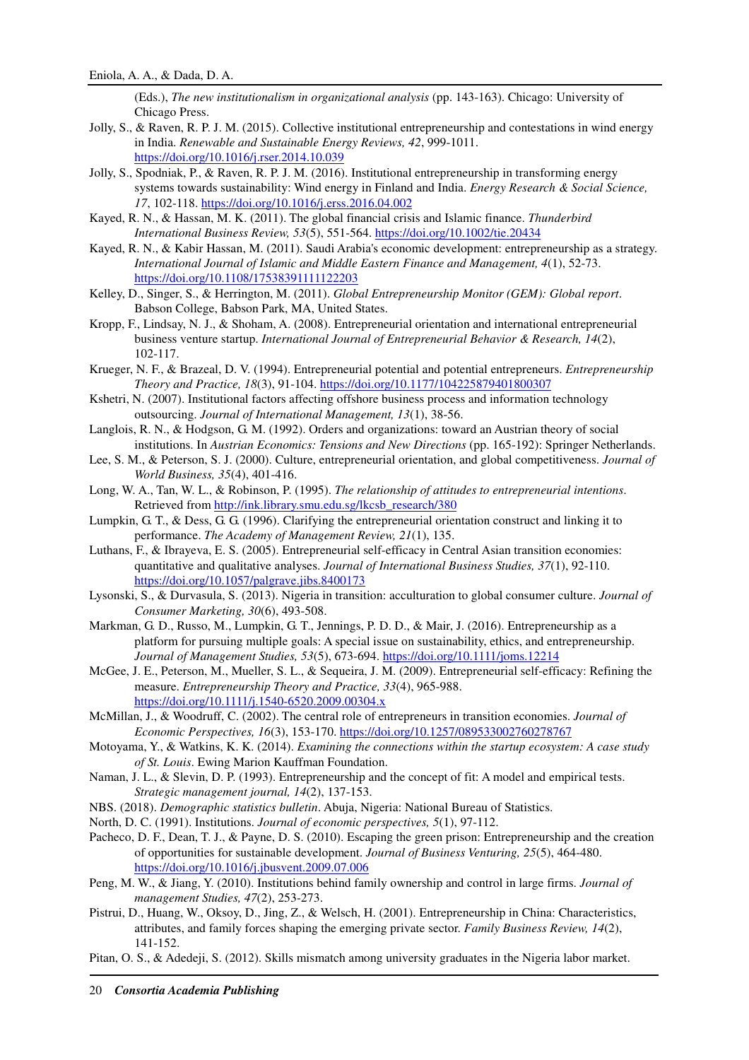(Eds.), *The new institutionalism in organizational analysis* (pp. 143-163). Chicago: University of Chicago Press.

- Jolly, S., & Raven, R. P. J. M. (2015). Collective institutional entrepreneurship and contestations in wind energy in India. *Renewable and Sustainable Energy Reviews, 42*, 999-1011. https://doi.org/10.1016/j.rser.2014.10.039
- Jolly, S., Spodniak, P., & Raven, R. P. J. M. (2016). Institutional entrepreneurship in transforming energy systems towards sustainability: Wind energy in Finland and India. *Energy Research & Social Science, 17*, 102-118. https://doi.org/10.1016/j.erss.2016.04.002
- Kayed, R. N., & Hassan, M. K. (2011). The global financial crisis and Islamic finance. *Thunderbird International Business Review, 53*(5), 551-564. https://doi.org/10.1002/tie.20434
- Kayed, R. N., & Kabir Hassan, M. (2011). Saudi Arabia's economic development: entrepreneurship as a strategy. *International Journal of Islamic and Middle Eastern Finance and Management, 4*(1), 52-73. https://doi.org/10.1108/17538391111122203
- Kelley, D., Singer, S., & Herrington, M. (2011). *Global Entrepreneurship Monitor (GEM): Global report*. Babson College, Babson Park, MA, United States.
- Kropp, F., Lindsay, N. J., & Shoham, A. (2008). Entrepreneurial orientation and international entrepreneurial business venture startup. *International Journal of Entrepreneurial Behavior & Research, 14*(2), 102-117.
- Krueger, N. F., & Brazeal, D. V. (1994). Entrepreneurial potential and potential entrepreneurs. *Entrepreneurship Theory and Practice, 18*(3), 91-104. https://doi.org/10.1177/104225879401800307
- Kshetri, N. (2007). Institutional factors affecting offshore business process and information technology outsourcing. *Journal of International Management, 13*(1), 38-56.
- Langlois, R. N., & Hodgson, G. M. (1992). Orders and organizations: toward an Austrian theory of social institutions. In *Austrian Economics: Tensions and New Directions* (pp. 165-192): Springer Netherlands.
- Lee, S. M., & Peterson, S. J. (2000). Culture, entrepreneurial orientation, and global competitiveness. *Journal of World Business, 35*(4), 401-416.
- Long, W. A., Tan, W. L., & Robinson, P. (1995). *The relationship of attitudes to entrepreneurial intentions*. Retrieved from http://ink.library.smu.edu.sg/lkcsb\_research/380
- Lumpkin, G. T., & Dess, G. G. (1996). Clarifying the entrepreneurial orientation construct and linking it to performance. *The Academy of Management Review, 21*(1), 135.
- Luthans, F., & Ibrayeva, E. S. (2005). Entrepreneurial self-efficacy in Central Asian transition economies: quantitative and qualitative analyses. *Journal of International Business Studies, 37*(1), 92-110. https://doi.org/10.1057/palgrave.jibs.8400173
- Lysonski, S., & Durvasula, S. (2013). Nigeria in transition: acculturation to global consumer culture. *Journal of Consumer Marketing, 30*(6), 493-508.
- Markman, G. D., Russo, M., Lumpkin, G. T., Jennings, P. D. D., & Mair, J. (2016). Entrepreneurship as a platform for pursuing multiple goals: A special issue on sustainability, ethics, and entrepreneurship. *Journal of Management Studies, 53*(5), 673-694. https://doi.org/10.1111/joms.12214
- McGee, J. E., Peterson, M., Mueller, S. L., & Sequeira, J. M. (2009). Entrepreneurial self-efficacy: Refining the measure. *Entrepreneurship Theory and Practice, 33*(4), 965-988. https://doi.org/10.1111/j.1540-6520.2009.00304.x
- McMillan, J., & Woodruff, C. (2002). The central role of entrepreneurs in transition economies. *Journal of Economic Perspectives, 16*(3), 153-170. https://doi.org/10.1257/089533002760278767
- Motoyama, Y., & Watkins, K. K. (2014). *Examining the connections within the startup ecosystem: A case study of St. Louis*. Ewing Marion Kauffman Foundation.
- Naman, J. L., & Slevin, D. P. (1993). Entrepreneurship and the concept of fit: A model and empirical tests. *Strategic management journal, 14*(2), 137-153.
- NBS. (2018). *Demographic statistics bulletin*. Abuja, Nigeria: National Bureau of Statistics.
- North, D. C. (1991). Institutions. *Journal of economic perspectives, 5*(1), 97-112.
- Pacheco, D. F., Dean, T. J., & Payne, D. S. (2010). Escaping the green prison: Entrepreneurship and the creation of opportunities for sustainable development. *Journal of Business Venturing, 25*(5), 464-480. https://doi.org/10.1016/j.jbusvent.2009.07.006
- Peng, M. W., & Jiang, Y. (2010). Institutions behind family ownership and control in large firms. *Journal of management Studies, 47*(2), 253-273.
- Pistrui, D., Huang, W., Oksoy, D., Jing, Z., & Welsch, H. (2001). Entrepreneurship in China: Characteristics, attributes, and family forces shaping the emerging private sector. *Family Business Review, 14*(2), 141-152.
- Pitan, O. S., & Adedeji, S. (2012). Skills mismatch among university graduates in the Nigeria labor market.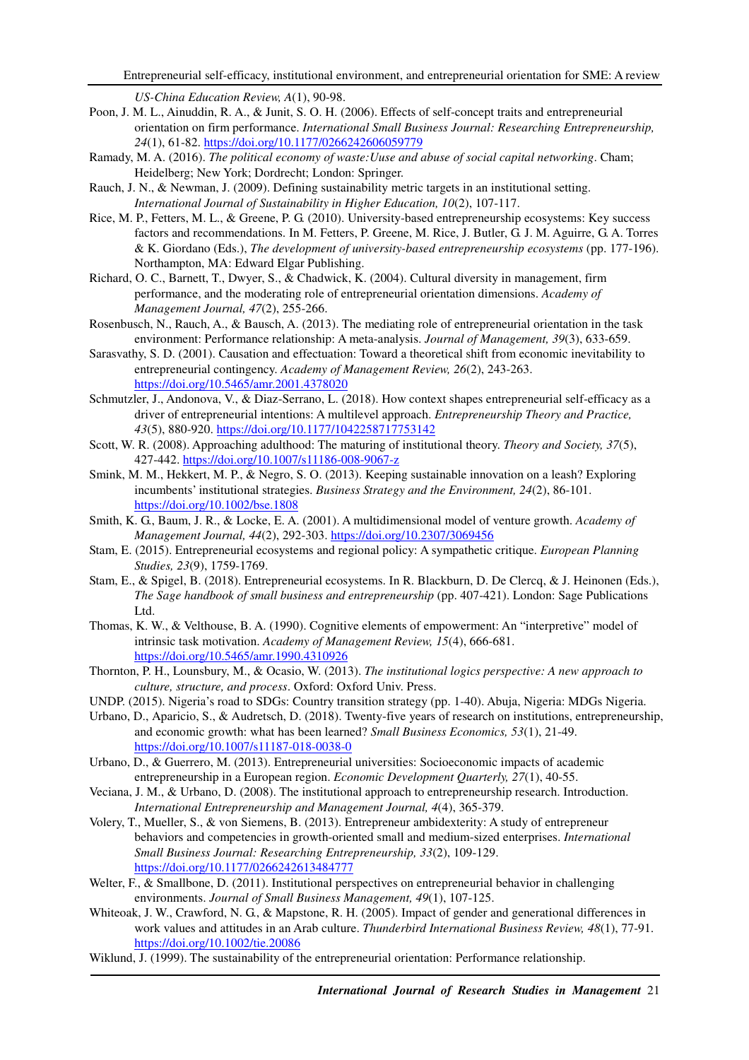*US-China Education Review, A*(1), 90-98.

- Poon, J. M. L., Ainuddin, R. A., & Junit, S. O. H. (2006). Effects of self-concept traits and entrepreneurial orientation on firm performance. *International Small Business Journal: Researching Entrepreneurship, 24*(1), 61-82. https://doi.org/10.1177/0266242606059779
- Ramady, M. A. (2016). *The political economy of waste:Uuse and abuse of social capital networking*. Cham; Heidelberg; New York; Dordrecht; London: Springer.
- Rauch, J. N., & Newman, J. (2009). Defining sustainability metric targets in an institutional setting. *International Journal of Sustainability in Higher Education, 10*(2), 107-117.
- Rice, M. P., Fetters, M. L., & Greene, P. G. (2010). University-based entrepreneurship ecosystems: Key success factors and recommendations. In M. Fetters, P. Greene, M. Rice, J. Butler, G. J. M. Aguirre, G. A. Torres & K. Giordano (Eds.), *The development of university-based entrepreneurship ecosystems* (pp. 177-196). Northampton, MA: Edward Elgar Publishing.
- Richard, O. C., Barnett, T., Dwyer, S., & Chadwick, K. (2004). Cultural diversity in management, firm performance, and the moderating role of entrepreneurial orientation dimensions. *Academy of Management Journal, 47*(2), 255-266.
- Rosenbusch, N., Rauch, A., & Bausch, A. (2013). The mediating role of entrepreneurial orientation in the task environment: Performance relationship: A meta-analysis. *Journal of Management, 39*(3), 633-659.
- Sarasvathy, S. D. (2001). Causation and effectuation: Toward a theoretical shift from economic inevitability to entrepreneurial contingency. *Academy of Management Review, 26*(2), 243-263. https://doi.org/10.5465/amr.2001.4378020
- Schmutzler, J., Andonova, V., & Diaz-Serrano, L. (2018). How context shapes entrepreneurial self-efficacy as a driver of entrepreneurial intentions: A multilevel approach. *Entrepreneurship Theory and Practice, 43*(5), 880-920. https://doi.org/10.1177/1042258717753142
- Scott, W. R. (2008). Approaching adulthood: The maturing of institutional theory. *Theory and Society, 37*(5), 427-442. https://doi.org/10.1007/s11186-008-9067-z
- Smink, M. M., Hekkert, M. P., & Negro, S. O. (2013). Keeping sustainable innovation on a leash? Exploring incumbents' institutional strategies. *Business Strategy and the Environment, 24*(2), 86-101. https://doi.org/10.1002/bse.1808
- Smith, K. G., Baum, J. R., & Locke, E. A. (2001). A multidimensional model of venture growth. *Academy of Management Journal, 44*(2), 292-303. https://doi.org/10.2307/3069456
- Stam, E. (2015). Entrepreneurial ecosystems and regional policy: A sympathetic critique. *European Planning Studies, 23*(9), 1759-1769.
- Stam, E., & Spigel, B. (2018). Entrepreneurial ecosystems. In R. Blackburn, D. De Clercq, & J. Heinonen (Eds.), *The Sage handbook of small business and entrepreneurship* (pp. 407-421). London: Sage Publications Ltd.
- Thomas, K. W., & Velthouse, B. A. (1990). Cognitive elements of empowerment: An "interpretive" model of intrinsic task motivation. *Academy of Management Review, 15*(4), 666-681. https://doi.org/10.5465/amr.1990.4310926
- Thornton, P. H., Lounsbury, M., & Ocasio, W. (2013). *The institutional logics perspective: A new approach to culture, structure, and process*. Oxford: Oxford Univ. Press.
- UNDP. (2015). Nigeria's road to SDGs: Country transition strategy (pp. 1-40). Abuja, Nigeria: MDGs Nigeria.
- Urbano, D., Aparicio, S., & Audretsch, D. (2018). Twenty-five years of research on institutions, entrepreneurship, and economic growth: what has been learned? *Small Business Economics, 53*(1), 21-49. https://doi.org/10.1007/s11187-018-0038-0
- Urbano, D., & Guerrero, M. (2013). Entrepreneurial universities: Socioeconomic impacts of academic entrepreneurship in a European region. *Economic Development Quarterly, 27*(1), 40-55.
- Veciana, J. M., & Urbano, D. (2008). The institutional approach to entrepreneurship research. Introduction. *International Entrepreneurship and Management Journal, 4*(4), 365-379.
- Volery, T., Mueller, S., & von Siemens, B. (2013). Entrepreneur ambidexterity: A study of entrepreneur behaviors and competencies in growth-oriented small and medium-sized enterprises. *International Small Business Journal: Researching Entrepreneurship, 33*(2), 109-129. https://doi.org/10.1177/0266242613484777
- Welter, F., & Smallbone, D. (2011). Institutional perspectives on entrepreneurial behavior in challenging environments. *Journal of Small Business Management, 49*(1), 107-125.
- Whiteoak, J. W., Crawford, N. G., & Mapstone, R. H. (2005). Impact of gender and generational differences in work values and attitudes in an Arab culture. *Thunderbird International Business Review, 48*(1), 77-91. https://doi.org/10.1002/tie.20086
- Wiklund, J. (1999). The sustainability of the entrepreneurial orientation: Performance relationship.